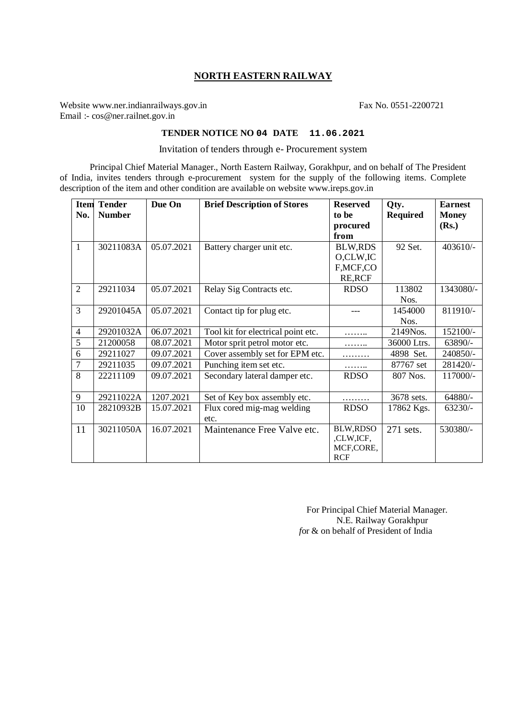## **NORTH EASTERN RAILWAY**

Website www.ner.indianrailways.gov.in Fax No. 0551-2200721 Email :- cos@ner.railnet.gov.in

## **TENDER NOTICE NO 04 DATE 11.06.2021**

Invitation of tenders through e- Procurement system

Principal Chief Material Manager., North Eastern Railway, Gorakhpur, and on behalf of The President of India, invites tenders through e-procurement system for the supply of the following items. Complete description of the item and other condition are available on website www.ireps.gov.in

| <b>Item</b>    | <b>Tender</b> | Due On     | <b>Brief Description of Stores</b> | <b>Reserved</b> | Qty.            | <b>Earnest</b> |
|----------------|---------------|------------|------------------------------------|-----------------|-----------------|----------------|
| No.            | <b>Number</b> |            |                                    | to be           | <b>Required</b> | <b>Money</b>   |
|                |               |            |                                    | procured        |                 | (Rs.)          |
|                |               |            |                                    | from            |                 |                |
| $\mathbf{1}$   | 30211083A     | 05.07.2021 | Battery charger unit etc.          | <b>BLW,RDS</b>  | 92 Set.         | 403610/-       |
|                |               |            |                                    | O,CLW,IC        |                 |                |
|                |               |            |                                    | F, MCF, CO      |                 |                |
|                |               |            |                                    | <b>RE, RCF</b>  |                 |                |
| 2              | 29211034      | 05.07.2021 | Relay Sig Contracts etc.           | <b>RDSO</b>     | 113802          | 1343080/-      |
|                |               |            |                                    |                 | Nos.            |                |
| $\overline{3}$ | 29201045A     | 05.07.2021 | Contact tip for plug etc.          |                 | 1454000         | 811910/-       |
|                |               |            |                                    |                 | Nos.            |                |
| $\overline{4}$ | 29201032A     | 06.07.2021 | Tool kit for electrical point etc. |                 | 2149Nos.        | 152100/-       |
| 5              | 21200058      | 08.07.2021 | Motor sprit petrol motor etc.      | .               | 36000 Ltrs.     | 63890/-        |
| 6              | 29211027      | 09.07.2021 | Cover assembly set for EPM etc.    | .               | 4898 Set.       | 240850/-       |
| 7              | 29211035      | 09.07.2021 | Punching item set etc.             | .               | 87767 set       | 281420/-       |
| 8              | 22211109      | 09.07.2021 | Secondary lateral damper etc.      | <b>RDSO</b>     | 807 Nos.        | 117000/-       |
|                |               |            |                                    |                 |                 |                |
| 9              | 29211022A     | 1207.2021  | Set of Key box assembly etc.       | .               | 3678 sets.      | 64880/-        |
| 10             | 28210932B     | 15.07.2021 | Flux cored mig-mag welding         | <b>RDSO</b>     | 17862 Kgs.      | $63230/-$      |
|                |               |            | etc.                               |                 |                 |                |
| 11             | 30211050A     | 16.07.2021 | Maintenance Free Valve etc.        | <b>BLW,RDSO</b> | 271 sets.       | 530380/-       |
|                |               |            |                                    | ,CLW,ICF,       |                 |                |
|                |               |            |                                    | MCF,CORE,       |                 |                |
|                |               |            |                                    | <b>RCF</b>      |                 |                |

 For Principal Chief Material Manager. N.E. Railway Gorakhpur *f*or & on behalf of President of India